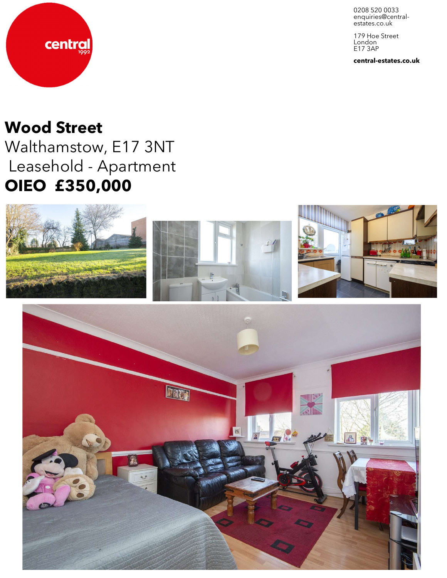0208 520 0033 enquiries@central-<br>estates.co.uk

179 Hoe Street London E17 3AP

**central-estates.co.uk**



central

Walthamstow, E17 3NT Leasehold - Apartment **OIEO £350,000**